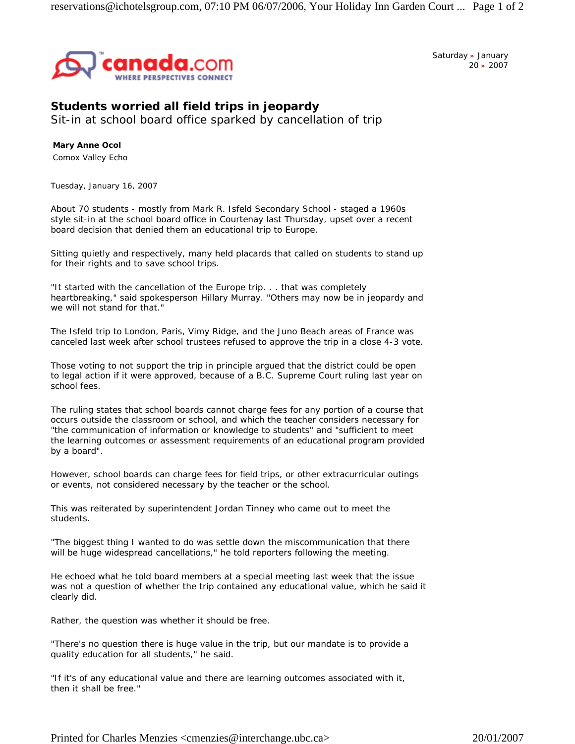

Saturday **»** January 20 **»** 2007

## **Students worried all field trips in jeopardy**

Sit-in at school board office sparked by cancellation of trip

**Mary Anne Ocol** Comox Valley Echo

*Tuesday, January 16, 2007* 

About 70 students - mostly from Mark R. Isfeld Secondary School - staged a 1960s style sit-in at the school board office in Courtenay last Thursday, upset over a recent board decision that denied them an educational trip to Europe.

Sitting quietly and respectively, many held placards that called on students to stand up for their rights and to save school trips.

"It started with the cancellation of the Europe trip. . . that was completely heartbreaking," said spokesperson Hillary Murray. "Others may now be in jeopardy and we will not stand for that."

The Isfeld trip to London, Paris, Vimy Ridge, and the Juno Beach areas of France was canceled last week after school trustees refused to approve the trip in a close 4-3 vote.

Those voting to not support the trip in principle argued that the district could be open to legal action if it were approved, because of a B.C. Supreme Court ruling last year on school fees.

The ruling states that school boards cannot charge fees for any portion of a course that occurs outside the classroom or school, and which the teacher considers necessary for "the communication of information or knowledge to students" and "sufficient to meet the learning outcomes or assessment requirements of an educational program provided by a board".

However, school boards can charge fees for field trips, or other extracurricular outings or events, not considered necessary by the teacher or the school.

This was reiterated by superintendent Jordan Tinney who came out to meet the students.

"The biggest thing I wanted to do was settle down the miscommunication that there will be huge widespread cancellations," he told reporters following the meeting.

He echoed what he told board members at a special meeting last week that the issue was not a question of whether the trip contained any educational value, which he said it clearly did.

Rather, the question was whether it should be free.

"There's no question there is huge value in the trip, but our mandate is to provide a quality education for all students," he said.

"If it's of any educational value and there are learning outcomes associated with it, then it shall be free."

Printed for Charles Menzies <cmenzies@interchange.ubc.ca> 20/01/2007